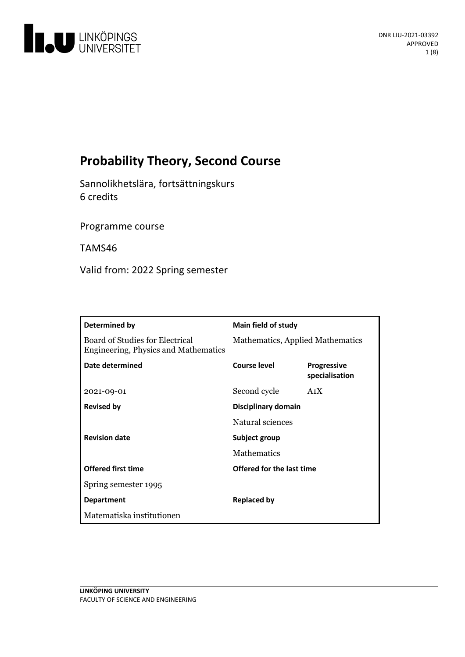

# **Probability Theory, Second Course**

Sannolikhetslära, fortsättningskurs 6 credits

Programme course

TAMS46

Valid from: 2022 Spring semester

| Determined by                                                           | <b>Main field of study</b>       |                                      |
|-------------------------------------------------------------------------|----------------------------------|--------------------------------------|
| Board of Studies for Electrical<br>Engineering, Physics and Mathematics | Mathematics, Applied Mathematics |                                      |
| Date determined                                                         | Course level                     | <b>Progressive</b><br>specialisation |
| 2021-09-01                                                              | Second cycle                     | A <sub>1</sub> X                     |
| <b>Revised by</b>                                                       | Disciplinary domain              |                                      |
|                                                                         | Natural sciences                 |                                      |
| <b>Revision date</b>                                                    | Subject group                    |                                      |
|                                                                         | <b>Mathematics</b>               |                                      |
| <b>Offered first time</b>                                               | Offered for the last time        |                                      |
| Spring semester 1995                                                    |                                  |                                      |
| <b>Department</b>                                                       | <b>Replaced by</b>               |                                      |
| Matematiska institutionen                                               |                                  |                                      |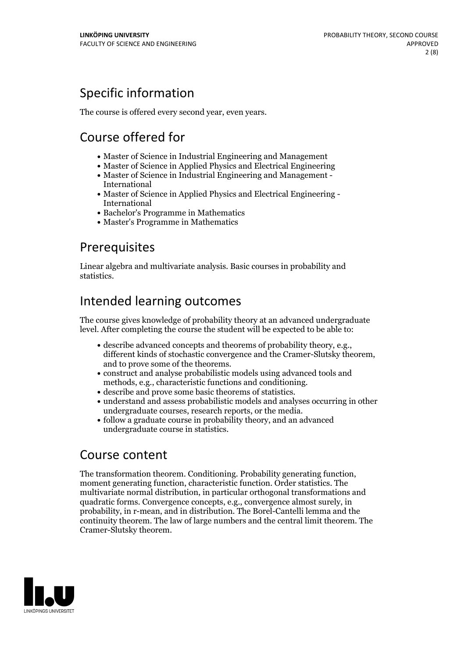# Specific information

The course is offered every second year, even years.

# Course offered for

- Master of Science in Industrial Engineering and Management
- Master of Science in Applied Physics and Electrical Engineering
- Master of Science in Industrial Engineering and Management International
- Master of Science in Applied Physics and Electrical Engineering International
- Bachelor's Programme in Mathematics
- Master's Programme in Mathematics

## Prerequisites

Linear algebra and multivariate analysis. Basic courses in probability and statistics.

## Intended learning outcomes

The course gives knowledge of probability theory at an advanced undergraduate level. After completing the course the student will be expected to be able to:

- describe advanced concepts and theorems of probability theory, e.g., different kinds of stochastic convergence and the Cramer-Slutsky theorem, and to prove some of the theorems.<br>• construct and analyse probabilistic mode
- 
- 
- methods, e.g., characteristic functions and conditioning.<br>• describe and prove some basic theorems of statistics.<br>• understand and assess probabilistic models and analyses occurring in other undergraduate courses, research reports, or the media.
- follow a graduate course in probability theory, and an advanced undergraduate course in statistics.

## Course content

The transformation theorem. Conditioning. Probability generating function, moment generating function, characteristic function. Order statistics. The multivariate normal distribution, in particular orthogonal transformations and quadratic forms. Convergence concepts, e.g., convergence almost surely, in probability, in r-mean, and in distribution. The Borel-Cantelli lemma and the continuity theorem. The law of large numbers and the central limit theorem. The Cramer-Slutsky theorem.

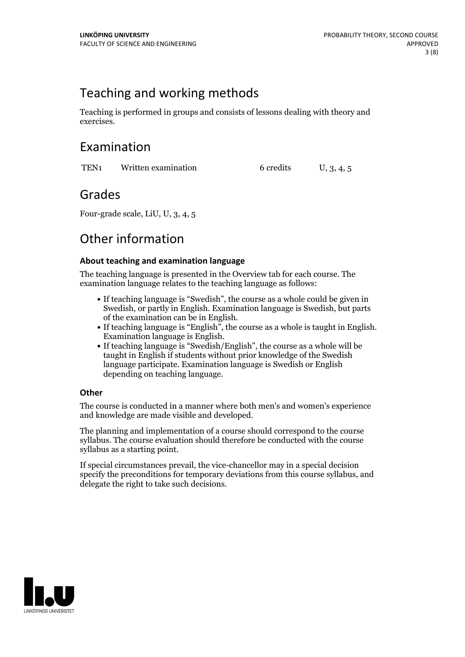## Teaching and working methods

Teaching is performed in groups and consists of lessons dealing with theory and exercises.

## Examination

TEN<sub>1</sub> Written examination 6 credits U, 3, 4, 5

## Grades

Four-grade scale, LiU, U, 3, 4, 5

## Other information

### **About teaching and examination language**

The teaching language is presented in the Overview tab for each course. The examination language relates to the teaching language as follows:

- If teaching language is "Swedish", the course as a whole could be given in Swedish, or partly in English. Examination language is Swedish, but parts
- of the examination can be in English. If teaching language is "English", the course as <sup>a</sup> whole is taught in English. Examination language is English. If teaching language is "Swedish/English", the course as <sup>a</sup> whole will be
- taught in English if students without prior knowledge of the Swedish language participate. Examination language is Swedish or English depending on teaching language.

### **Other**

The course is conducted in a manner where both men's and women's experience and knowledge are made visible and developed.

The planning and implementation of a course should correspond to the course syllabus. The course evaluation should therefore be conducted with the course syllabus as a starting point.

If special circumstances prevail, the vice-chancellor may in a special decision specify the preconditions for temporary deviations from this course syllabus, and delegate the right to take such decisions.

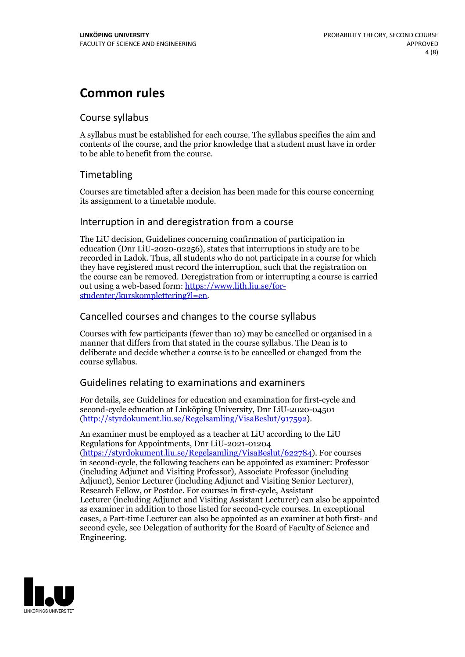## **Common rules**

### Course syllabus

A syllabus must be established for each course. The syllabus specifies the aim and contents of the course, and the prior knowledge that a student must have in order to be able to benefit from the course.

### Timetabling

Courses are timetabled after a decision has been made for this course concerning its assignment to a timetable module.

### Interruption in and deregistration from a course

The LiU decision, Guidelines concerning confirmation of participation in education (Dnr LiU-2020-02256), states that interruptions in study are to be recorded in Ladok. Thus, all students who do not participate in a course for which they have registered must record the interruption, such that the registration on the course can be removed. Deregistration from or interrupting a course is carried out using <sup>a</sup> web-based form: https://www.lith.liu.se/for- [studenter/kurskomplettering?l=en.](https://www.lith.liu.se/for-studenter/kurskomplettering?l=en)

### Cancelled courses and changes to the course syllabus

Courses with few participants (fewer than 10) may be cancelled or organised in a manner that differs from that stated in the course syllabus. The Dean is to deliberate and decide whether a course is to be cancelled or changed from the course syllabus.

### Guidelines relating to examinations and examiners

For details, see Guidelines for education and examination for first-cycle and second-cycle education at Linköping University, Dnr LiU-2020-04501 [\(http://styrdokument.liu.se/Regelsamling/VisaBeslut/917592\)](http://styrdokument.liu.se/Regelsamling/VisaBeslut/917592).

An examiner must be employed as a teacher at LiU according to the LiU Regulations for Appointments, Dnr LiU-2021-01204 [\(https://styrdokument.liu.se/Regelsamling/VisaBeslut/622784](https://styrdokument.liu.se/Regelsamling/VisaBeslut/622784)). For courses in second-cycle, the following teachers can be appointed as examiner: Professor (including Adjunct and Visiting Professor), Associate Professor (including Adjunct), Senior Lecturer (including Adjunct and Visiting Senior Lecturer), Research Fellow, or Postdoc. For courses in first-cycle, Assistant Lecturer (including Adjunct and Visiting Assistant Lecturer) can also be appointed as examiner in addition to those listed for second-cycle courses. In exceptional cases, a Part-time Lecturer can also be appointed as an examiner at both first- and second cycle, see Delegation of authority for the Board of Faculty of Science and Engineering.

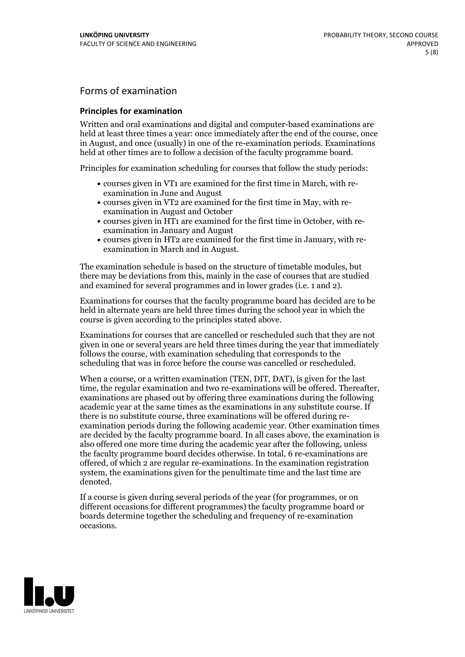### Forms of examination

### **Principles for examination**

Written and oral examinations and digital and computer-based examinations are held at least three times a year: once immediately after the end of the course, once in August, and once (usually) in one of the re-examination periods. Examinations held at other times are to follow a decision of the faculty programme board.

Principles for examination scheduling for courses that follow the study periods:

- courses given in VT1 are examined for the first time in March, with re-examination in June and August
- courses given in VT2 are examined for the first time in May, with re-examination in August and October
- courses given in HT1 are examined for the first time in October, with re-examination in January and August
- courses given in HT2 are examined for the first time in January, with re-examination in March and in August.

The examination schedule is based on the structure of timetable modules, but there may be deviations from this, mainly in the case of courses that are studied and examined for several programmes and in lower grades (i.e. 1 and 2).

Examinations for courses that the faculty programme board has decided are to be held in alternate years are held three times during the school year in which the course is given according to the principles stated above.

Examinations for courses that are cancelled orrescheduled such that they are not given in one or several years are held three times during the year that immediately follows the course, with examination scheduling that corresponds to the scheduling that was in force before the course was cancelled or rescheduled.

When a course, or a written examination (TEN, DIT, DAT), is given for the last time, the regular examination and two re-examinations will be offered. Thereafter, examinations are phased out by offering three examinations during the following academic year at the same times as the examinations in any substitute course. If there is no substitute course, three examinations will be offered during re- examination periods during the following academic year. Other examination times are decided by the faculty programme board. In all cases above, the examination is also offered one more time during the academic year after the following, unless the faculty programme board decides otherwise. In total, 6 re-examinations are offered, of which 2 are regular re-examinations. In the examination registration system, the examinations given for the penultimate time and the last time are denoted.

If a course is given during several periods of the year (for programmes, or on different occasions for different programmes) the faculty programme board or boards determine together the scheduling and frequency of re-examination occasions.

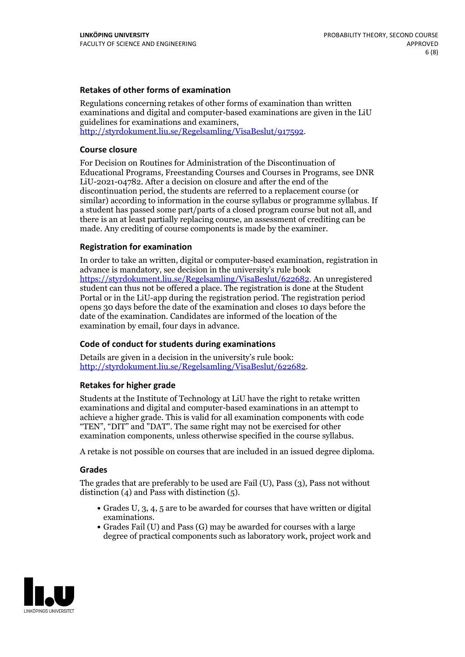### **Retakes of other forms of examination**

Regulations concerning retakes of other forms of examination than written examinations and digital and computer-based examinations are given in the LiU guidelines for examinations and examiners, [http://styrdokument.liu.se/Regelsamling/VisaBeslut/917592.](http://styrdokument.liu.se/Regelsamling/VisaBeslut/917592)

#### **Course closure**

For Decision on Routines for Administration of the Discontinuation of Educational Programs, Freestanding Courses and Courses in Programs, see DNR LiU-2021-04782. After a decision on closure and after the end of the discontinuation period, the students are referred to a replacement course (or similar) according to information in the course syllabus or programme syllabus. If a student has passed some part/parts of a closed program course but not all, and there is an at least partially replacing course, an assessment of crediting can be made. Any crediting of course components is made by the examiner.

#### **Registration for examination**

In order to take an written, digital or computer-based examination, registration in advance is mandatory, see decision in the university's rule book [https://styrdokument.liu.se/Regelsamling/VisaBeslut/622682.](https://styrdokument.liu.se/Regelsamling/VisaBeslut/622682) An unregistered student can thus not be offered a place. The registration is done at the Student Portal or in the LiU-app during the registration period. The registration period opens 30 days before the date of the examination and closes 10 days before the date of the examination. Candidates are informed of the location of the examination by email, four days in advance.

#### **Code of conduct for students during examinations**

Details are given in a decision in the university's rule book: <http://styrdokument.liu.se/Regelsamling/VisaBeslut/622682>.

#### **Retakes for higher grade**

Students at the Institute of Technology at LiU have the right to retake written examinations and digital and computer-based examinations in an attempt to achieve a higher grade. This is valid for all examination components with code "TEN", "DIT" and "DAT". The same right may not be exercised for other examination components, unless otherwise specified in the course syllabus.

A retake is not possible on courses that are included in an issued degree diploma.

#### **Grades**

The grades that are preferably to be used are Fail (U), Pass (3), Pass not without distinction  $(4)$  and Pass with distinction  $(5)$ .

- Grades U, 3, 4, 5 are to be awarded for courses that have written or digital examinations.<br>• Grades Fail (U) and Pass (G) may be awarded for courses with a large
- degree of practical components such as laboratory work, project work and

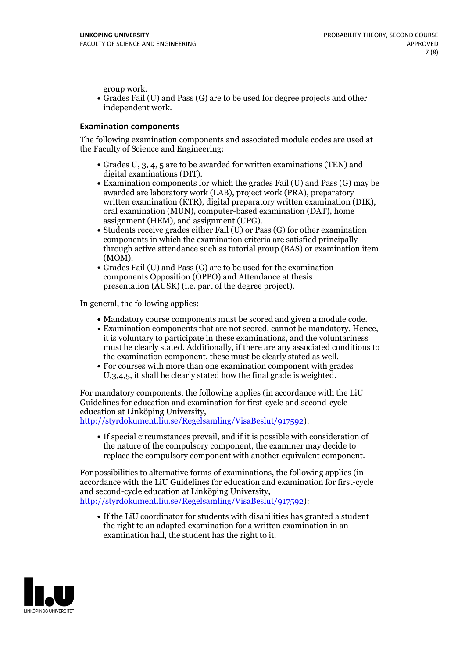group work.<br>• Grades Fail (U) and Pass (G) are to be used for degree projects and other independent work.

### **Examination components**

The following examination components and associated module codes are used at the Faculty of Science and Engineering:

- Grades U, 3, 4, 5 are to be awarded for written examinations (TEN) and
- digital examinations (DIT).<br>• Examination components for which the grades Fail (U) and Pass (G) may be awarded are laboratory work (LAB), project work (PRA), preparatory written examination (KTR), digital preparatory written examination (DIK), oral examination (MUN), computer-based examination (DAT), home
- assignment (HEM), and assignment (UPG).<br>• Students receive grades either Fail (U) or Pass (G) for other examination components in which the examination criteria are satisfied principally through active attendance such as tutorial group (BAS) or examination item
- (MOM).<br>• Grades Fail (U) and Pass (G) are to be used for the examination components Opposition (OPPO) and Attendance at thesis presentation (AUSK) (i.e. part of the degree project).

In general, the following applies:

- 
- Mandatory course components must be scored and given <sup>a</sup> module code. Examination components that are not scored, cannot be mandatory. Hence, it is voluntary to participate in these examinations, and the voluntariness must be clearly stated. Additionally, if there are any associated conditions to
- the examination component, these must be clearly stated as well.<br>• For courses with more than one examination component with grades U,3,4,5, it shall be clearly stated how the final grade is weighted.

For mandatory components, the following applies (in accordance with the LiU Guidelines for education and examination for first-cycle and second-cycle education at Linköping University,<br>[http://styrdokument.liu.se/Regelsamling/VisaBeslut/917592\)](http://styrdokument.liu.se/Regelsamling/VisaBeslut/917592):

If special circumstances prevail, and if it is possible with consideration of the nature of the compulsory component, the examiner may decide to replace the compulsory component with another equivalent component.

For possibilities to alternative forms of examinations, the following applies (in accordance with the LiU Guidelines for education and examination for first-cycle [http://styrdokument.liu.se/Regelsamling/VisaBeslut/917592\)](http://styrdokument.liu.se/Regelsamling/VisaBeslut/917592):

If the LiU coordinator for students with disabilities has granted a student the right to an adapted examination for a written examination in an examination hall, the student has the right to it.